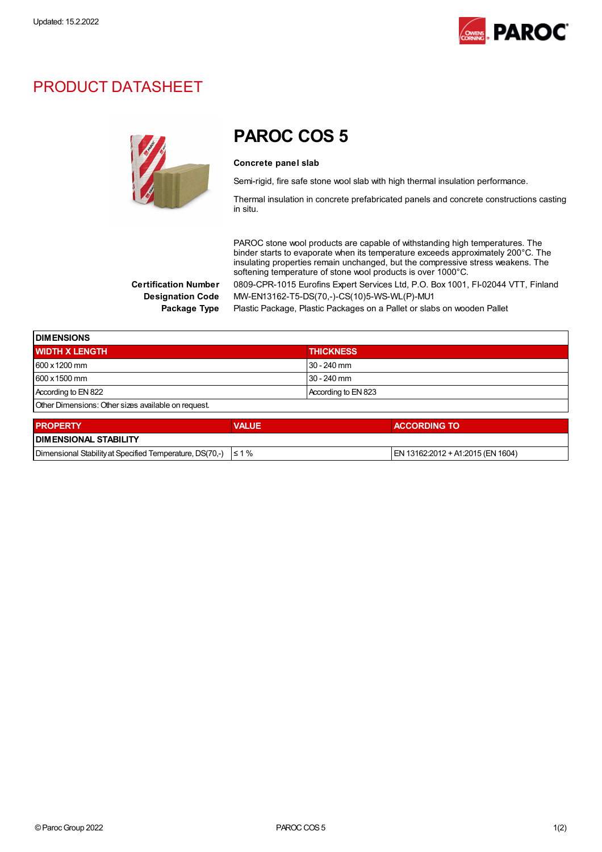

## PRODUCT DATASHEET



PAROC COS 5

## Concrete panel slab

Semi-rigid, fire safe stone wool slab with high thermal insulation performance.

Thermal insulation in concrete prefabricated panels and concrete constructions casting in situ.

PAROC stone wool products are capable of withstanding high temperatures. The binder starts to evaporate when its temperature exceeds approximately 200°C. The insulating properties remain unchanged, but the compressive stress weakens. The softening temperature of stone wool products is over 1000°C. Certification Number 0809-CPR-1015 Eurofins Expert Services Ltd, P.O. Box 1001, FI-02044 VTT, Finland

Designation Code MW-EN13162-T5-DS(70,-)-CS(10)5-WS-WL(P)-MU1

Package Type Plastic Package, Plastic Packages on a Pallet or slabs on wooden Pallet

| <b>DIMENSIONS</b>                                   |                     |  |
|-----------------------------------------------------|---------------------|--|
| <b>WIDTH X LENGTH</b>                               | <b>THICKNESS</b>    |  |
| 600 x 1200 mm                                       | $30 - 240$ mm       |  |
| $1600 \times 1500$ mm                               | $30 - 240$ mm       |  |
| According to EN 822                                 | According to EN 823 |  |
| Other Dimensions: Other sizes available on request. |                     |  |

| <b>PROPERTY</b>                                                     | <b>VALUE</b> | <b>ACCORDING TO</b>                |  |
|---------------------------------------------------------------------|--------------|------------------------------------|--|
| <b>I DIMENSIONAL STABILITY</b>                                      |              |                                    |  |
| Dimensional Stability at Specified Temperature, DS(70,-) $\leq 1\%$ |              | IEN 13162:2012 + A1:2015 (EN 1604) |  |